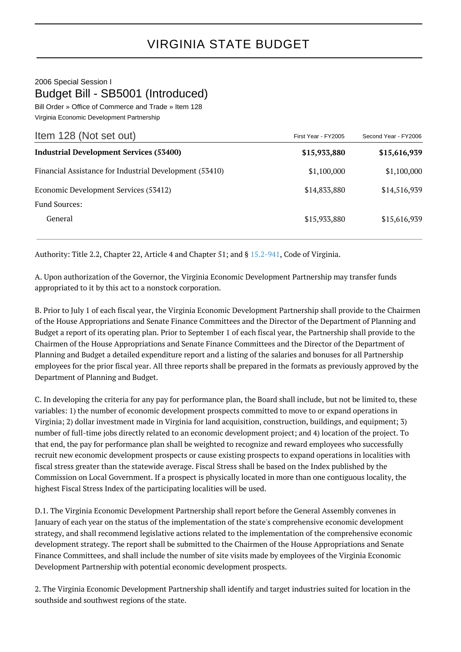## 2006 Special Session I Budget Bill - SB5001 (Introduced) Bill Order » Office of Commerce and Trade » Item 128

Virginia Economic Development Partnership

| Item 128 (Not set out)                                  | First Year - FY2005 | Second Year - FY2006 |
|---------------------------------------------------------|---------------------|----------------------|
| <b>Industrial Development Services (53400)</b>          | \$15,933,880        | \$15,616,939         |
| Financial Assistance for Industrial Development (53410) | \$1,100,000         | \$1,100,000          |
| Economic Development Services (53412)                   | \$14,833,880        | \$14,516,939         |
| Fund Sources:                                           |                     |                      |
| General                                                 | \$15,933,880        | \$15,616,939         |

Authority: Title 2.2, Chapter 22, Article 4 and Chapter 51; and § [15.2-941](http://law.lis.virginia.gov/vacode/15.2-941/), Code of Virginia.

A. Upon authorization of the Governor, the Virginia Economic Development Partnership may transfer funds appropriated to it by this act to a nonstock corporation.

B. Prior to July 1 of each fiscal year, the Virginia Economic Development Partnership shall provide to the Chairmen of the House Appropriations and Senate Finance Committees and the Director of the Department of Planning and Budget a report of its operating plan. Prior to September 1 of each fiscal year, the Partnership shall provide to the Chairmen of the House Appropriations and Senate Finance Committees and the Director of the Department of Planning and Budget a detailed expenditure report and a listing of the salaries and bonuses for all Partnership employees for the prior fiscal year. All three reports shall be prepared in the formats as previously approved by the Department of Planning and Budget.

C. In developing the criteria for any pay for performance plan, the Board shall include, but not be limited to, these variables: 1) the number of economic development prospects committed to move to or expand operations in Virginia; 2) dollar investment made in Virginia for land acquisition, construction, buildings, and equipment; 3) number of full-time jobs directly related to an economic development project; and 4) location of the project. To that end, the pay for performance plan shall be weighted to recognize and reward employees who successfully recruit new economic development prospects or cause existing prospects to expand operations in localities with fiscal stress greater than the statewide average. Fiscal Stress shall be based on the Index published by the Commission on Local Government. If a prospect is physically located in more than one contiguous locality, the highest Fiscal Stress Index of the participating localities will be used.

D.1. The Virginia Economic Development Partnership shall report before the General Assembly convenes in January of each year on the status of the implementation of the state's comprehensive economic development strategy, and shall recommend legislative actions related to the implementation of the comprehensive economic development strategy. The report shall be submitted to the Chairmen of the House Appropriations and Senate Finance Committees, and shall include the number of site visits made by employees of the Virginia Economic Development Partnership with potential economic development prospects.

2. The Virginia Economic Development Partnership shall identify and target industries suited for location in the southside and southwest regions of the state.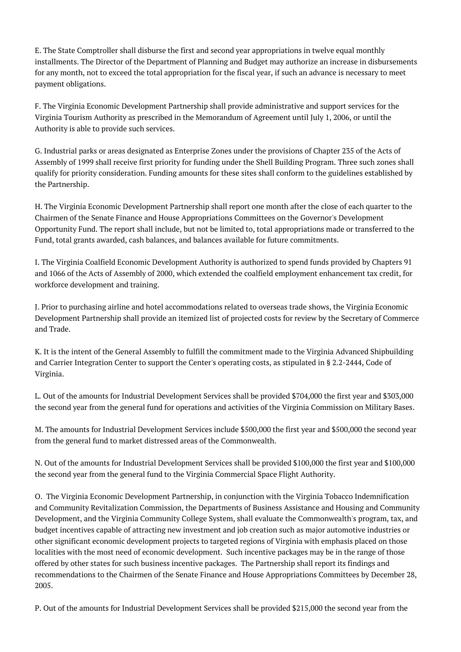E. The State Comptroller shall disburse the first and second year appropriations in twelve equal monthly installments. The Director of the Department of Planning and Budget may authorize an increase in disbursements for any month, not to exceed the total appropriation for the fiscal year, if such an advance is necessary to meet payment obligations.

F. The Virginia Economic Development Partnership shall provide administrative and support services for the Virginia Tourism Authority as prescribed in the Memorandum of Agreement until July 1, 2006, or until the Authority is able to provide such services.

G. Industrial parks or areas designated as Enterprise Zones under the provisions of Chapter 235 of the Acts of Assembly of 1999 shall receive first priority for funding under the Shell Building Program. Three such zones shall qualify for priority consideration. Funding amounts for these sites shall conform to the guidelines established by the Partnership.

H. The Virginia Economic Development Partnership shall report one month after the close of each quarter to the Chairmen of the Senate Finance and House Appropriations Committees on the Governor's Development Opportunity Fund. The report shall include, but not be limited to, total appropriations made or transferred to the Fund, total grants awarded, cash balances, and balances available for future commitments.

I. The Virginia Coalfield Economic Development Authority is authorized to spend funds provided by Chapters 91 and 1066 of the Acts of Assembly of 2000, which extended the coalfield employment enhancement tax credit, for workforce development and training.

J. Prior to purchasing airline and hotel accommodations related to overseas trade shows, the Virginia Economic Development Partnership shall provide an itemized list of projected costs for review by the Secretary of Commerce and Trade.

K. It is the intent of the General Assembly to fulfill the commitment made to the Virginia Advanced Shipbuilding and Carrier Integration Center to support the Center's operating costs, as stipulated in § 2.2-2444, Code of Virginia.

L. Out of the amounts for Industrial Development Services shall be provided \$704,000 the first year and \$303,000 the second year from the general fund for operations and activities of the Virginia Commission on Military Bases.

M. The amounts for Industrial Development Services include \$500,000 the first year and \$500,000 the second year from the general fund to market distressed areas of the Commonwealth.

N. Out of the amounts for Industrial Development Services shall be provided \$100,000 the first year and \$100,000 the second year from the general fund to the Virginia Commercial Space Flight Authority.

O. The Virginia Economic Development Partnership, in conjunction with the Virginia Tobacco Indemnification and Community Revitalization Commission, the Departments of Business Assistance and Housing and Community Development, and the Virginia Community College System, shall evaluate the Commonwealth's program, tax, and budget incentives capable of attracting new investment and job creation such as major automotive industries or other significant economic development projects to targeted regions of Virginia with emphasis placed on those localities with the most need of economic development. Such incentive packages may be in the range of those offered by other states for such business incentive packages. The Partnership shall report its findings and recommendations to the Chairmen of the Senate Finance and House Appropriations Committees by December 28, 2005.

P. Out of the amounts for Industrial Development Services shall be provided \$215,000 the second year from the